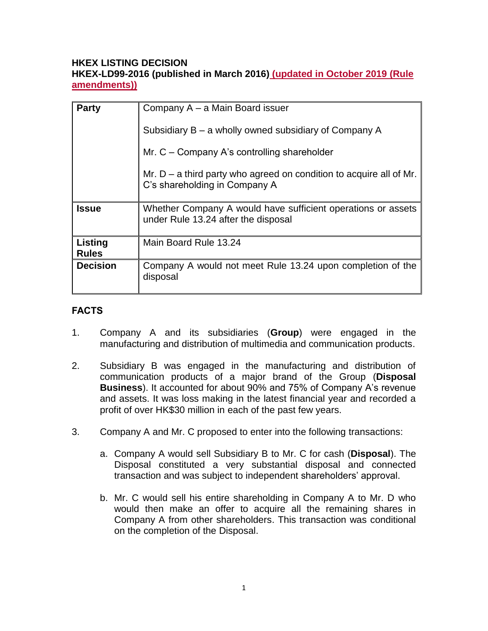### **HKEX LISTING DECISION HKEX-LD99-2016 (published in March 2016) (updated in October 2019 (Rule amendments))**

| <b>Party</b>            | Company A – a Main Board issuer                                                                        |
|-------------------------|--------------------------------------------------------------------------------------------------------|
|                         | Subsidiary $B - a$ wholly owned subsidiary of Company A                                                |
|                         | Mr. $C$ – Company A's controlling shareholder                                                          |
|                         | Mr. $D - a$ third party who agreed on condition to acquire all of Mr.<br>C's shareholding in Company A |
| <b>Issue</b>            | Whether Company A would have sufficient operations or assets<br>under Rule 13.24 after the disposal    |
| Listing<br><b>Rules</b> | Main Board Rule 13.24                                                                                  |
| <b>Decision</b>         | Company A would not meet Rule 13.24 upon completion of the<br>disposal                                 |

# **FACTS**

- 1. Company A and its subsidiaries (**Group**) were engaged in the manufacturing and distribution of multimedia and communication products.
- 2. Subsidiary B was engaged in the manufacturing and distribution of communication products of a major brand of the Group (**Disposal Business**). It accounted for about 90% and 75% of Company A's revenue and assets. It was loss making in the latest financial year and recorded a profit of over HK\$30 million in each of the past few years.
- 3. Company A and Mr. C proposed to enter into the following transactions:
	- a. Company A would sell Subsidiary B to Mr. C for cash (**Disposal**). The Disposal constituted a very substantial disposal and connected transaction and was subject to independent shareholders' approval.
	- b. Mr. C would sell his entire shareholding in Company A to Mr. D who would then make an offer to acquire all the remaining shares in Company A from other shareholders. This transaction was conditional on the completion of the Disposal.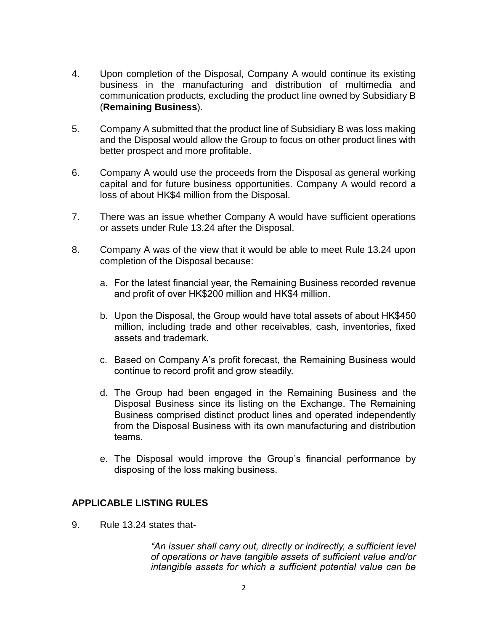- 4. Upon completion of the Disposal, Company A would continue its existing business in the manufacturing and distribution of multimedia and communication products, excluding the product line owned by Subsidiary B (**Remaining Business**).
- 5. Company A submitted that the product line of Subsidiary B was loss making and the Disposal would allow the Group to focus on other product lines with better prospect and more profitable.
- 6. Company A would use the proceeds from the Disposal as general working capital and for future business opportunities. Company A would record a loss of about HK\$4 million from the Disposal.
- 7. There was an issue whether Company A would have sufficient operations or assets under Rule 13.24 after the Disposal.
- 8. Company A was of the view that it would be able to meet Rule 13.24 upon completion of the Disposal because:
	- a. For the latest financial year, the Remaining Business recorded revenue and profit of over HK\$200 million and HK\$4 million.
	- b. Upon the Disposal, the Group would have total assets of about HK\$450 million, including trade and other receivables, cash, inventories, fixed assets and trademark.
	- c. Based on Company A's profit forecast, the Remaining Business would continue to record profit and grow steadily.
	- d. The Group had been engaged in the Remaining Business and the Disposal Business since its listing on the Exchange. The Remaining Business comprised distinct product lines and operated independently from the Disposal Business with its own manufacturing and distribution teams.
	- e. The Disposal would improve the Group's financial performance by disposing of the loss making business.

## **APPLICABLE LISTING RULES**

9. Rule 13.24 states that-

*"An issuer shall carry out, directly or indirectly, a sufficient level of operations or have tangible assets of sufficient value and/or intangible assets for which a sufficient potential value can be*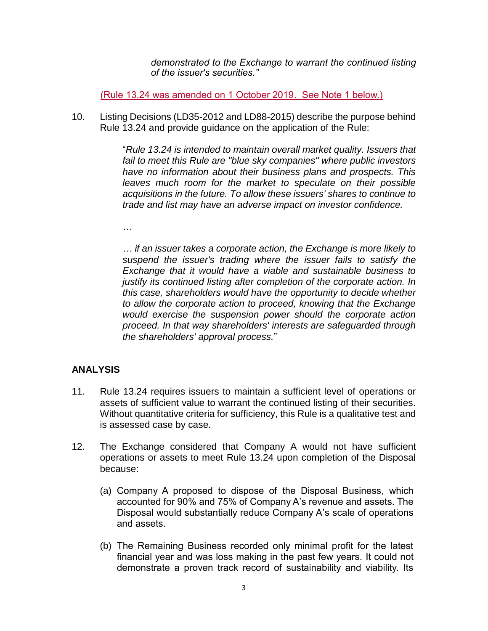*demonstrated to the Exchange to warrant the continued listing of the issuer's securities."*

(Rule 13.24 was amended on 1 October 2019. See Note 1 below.)

10. Listing Decisions (LD35-2012 and LD88-2015) describe the purpose behind Rule 13.24 and provide guidance on the application of the Rule:

> "*Rule 13.24 is intended to maintain overall market quality. Issuers that fail to meet this Rule are "blue sky companies" where public investors have no information about their business plans and prospects. This leaves much room for the market to speculate on their possible acquisitions in the future. To allow these issuers' shares to continue to trade and list may have an adverse impact on investor confidence.*

*…* 

*… if an issuer takes a corporate action, the Exchange is more likely to suspend the issuer's trading where the issuer fails to satisfy the Exchange that it would have a viable and sustainable business to justify its continued listing after completion of the corporate action. In this case, shareholders would have the opportunity to decide whether to allow the corporate action to proceed, knowing that the Exchange would exercise the suspension power should the corporate action proceed. In that way shareholders' interests are safeguarded through the shareholders' approval process.*"

## **ANALYSIS**

- 11. Rule 13.24 requires issuers to maintain a sufficient level of operations or assets of sufficient value to warrant the continued listing of their securities. Without quantitative criteria for sufficiency, this Rule is a qualitative test and is assessed case by case.
- 12. The Exchange considered that Company A would not have sufficient operations or assets to meet Rule 13.24 upon completion of the Disposal because:
	- (a) Company A proposed to dispose of the Disposal Business, which accounted for 90% and 75% of Company A's revenue and assets. The Disposal would substantially reduce Company A's scale of operations and assets.
	- (b) The Remaining Business recorded only minimal profit for the latest financial year and was loss making in the past few years. It could not demonstrate a proven track record of sustainability and viability. Its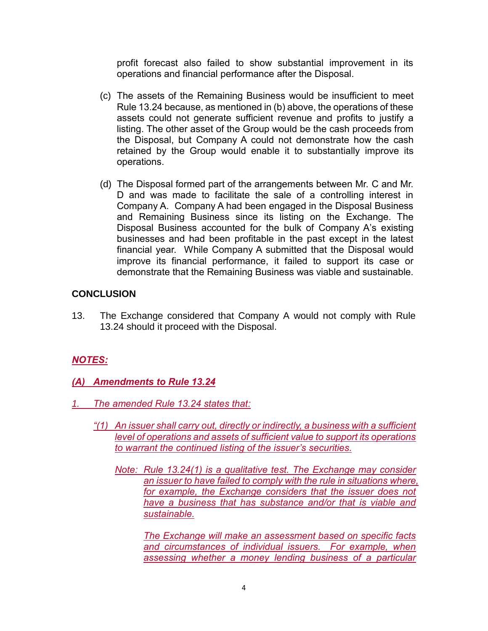profit forecast also failed to show substantial improvement in its operations and financial performance after the Disposal.

- (c) The assets of the Remaining Business would be insufficient to meet Rule 13.24 because, as mentioned in (b) above, the operations of these assets could not generate sufficient revenue and profits to justify a listing. The other asset of the Group would be the cash proceeds from the Disposal, but Company A could not demonstrate how the cash retained by the Group would enable it to substantially improve its operations.
- (d) The Disposal formed part of the arrangements between Mr. C and Mr. D and was made to facilitate the sale of a controlling interest in Company A. Company A had been engaged in the Disposal Business and Remaining Business since its listing on the Exchange. The Disposal Business accounted for the bulk of Company A's existing businesses and had been profitable in the past except in the latest financial year. While Company A submitted that the Disposal would improve its financial performance, it failed to support its case or demonstrate that the Remaining Business was viable and sustainable.

## **CONCLUSION**

13. The Exchange considered that Company A would not comply with Rule 13.24 should it proceed with the Disposal.

## *NOTES:*

- *(A) Amendments to Rule 13.24*
- *1. The amended Rule 13.24 states that:*
	- *"(1) An issuer shall carry out, directly or indirectly, a business with a sufficient level of operations and assets of sufficient value to support its operations to warrant the continued listing of the issuer's securities.*
		- *Note: Rule 13.24(1) is a qualitative test. The Exchange may consider an issuer to have failed to comply with the rule in situations where, for example, the Exchange considers that the issuer does not have a business that has substance and/or that is viable and sustainable.*

*The Exchange will make an assessment based on specific facts and circumstances of individual issuers. For example, when assessing whether a money lending business of a particular*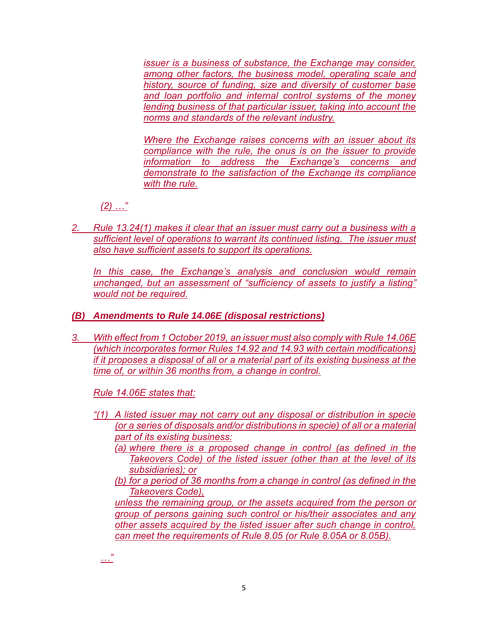*issuer is a business of substance, the Exchange may consider, among other factors, the business model, operating scale and history, source of funding, size and diversity of customer base and loan portfolio and internal control systems of the money lending business of that particular issuer, taking into account the norms and standards of the relevant industry.* 

*Where the Exchange raises concerns with an issuer about its compliance with the rule, the onus is on the issuer to provide information to address the Exchange's concerns and demonstrate to the satisfaction of the Exchange its compliance with the rule.*

*(2) …"*

*2. Rule 13.24(1) makes it clear that an issuer must carry out a business with a sufficient level of operations to warrant its continued listing. The issuer must also have sufficient assets to support its operations.* 

In this case, the Exchange's analysis and conclusion would remain *unchanged, but an assessment of "sufficiency of assets to justify a listing" would not be required.* 

# *(B) Amendments to Rule 14.06E (disposal restrictions)*

*3. With effect from 1 October 2019, an issuer must also comply with Rule 14.06E (which incorporates former Rules 14.92 and 14.93 with certain modifications) if it proposes a disposal of all or a material part of its existing business at the time of, or within 36 months from, a change in control.* 

*Rule 14.06E states that:* 

- *"(1) A listed issuer may not carry out any disposal or distribution in specie (or a series of disposals and/or distributions in specie) of all or a material part of its existing business:*
	- *(a) where there is a proposed change in control (as defined in the Takeovers Code) of the listed issuer (other than at the level of its subsidiaries); or*
	- *(b) for a period of 36 months from a change in control (as defined in the Takeovers Code),*

*unless the remaining group, or the assets acquired from the person or group of persons gaining such control or his/their associates and any other assets acquired by the listed issuer after such change in control, can meet the requirements of Rule 8.05 (or Rule 8.05A or 8.05B).*